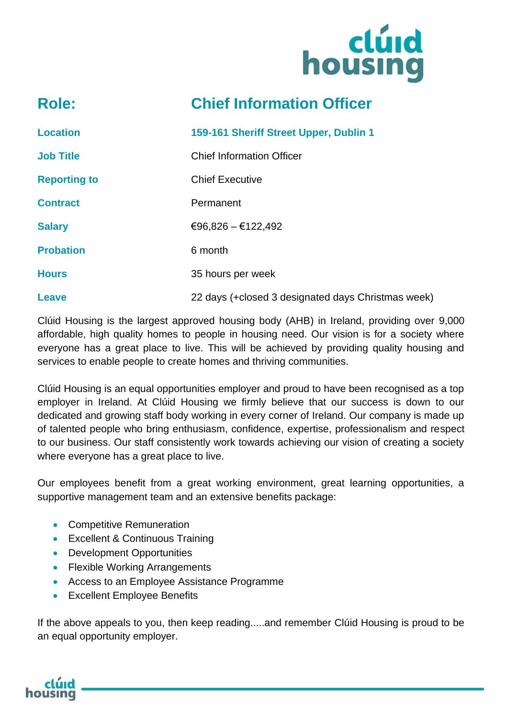

### **Role: Chief Information Officer**

| <b>Location</b>     | 159-161 Sheriff Street Upper, Dublin 1             |
|---------------------|----------------------------------------------------|
| <b>Job Title</b>    | <b>Chief Information Officer</b>                   |
| <b>Reporting to</b> | <b>Chief Executive</b>                             |
| <b>Contract</b>     | Permanent                                          |
| <b>Salary</b>       | €96,826 - €122,492                                 |
| <b>Probation</b>    | 6 month                                            |
| <b>Hours</b>        | 35 hours per week                                  |
| <b>Leave</b>        | 22 days (+closed 3 designated days Christmas week) |

Clúid Housing is the largest approved housing body (AHB) in Ireland, providing over 9,000 affordable, high quality homes to people in housing need. Our vision is for a society where everyone has a great place to live. This will be achieved by providing quality housing and services to enable people to create homes and thriving communities.

Clúid Housing is an equal opportunities employer and proud to have been recognised as a top employer in Ireland. At Clúid Housing we firmly believe that our success is down to our dedicated and growing staff body working in every corner of Ireland. Our company is made up of talented people who bring enthusiasm, confidence, expertise, professionalism and respect to our business. Our staff consistently work towards achieving our vision of creating a society where everyone has a great place to live.

Our employees benefit from a great working environment, great learning opportunities, a supportive management team and an extensive benefits package:

- Competitive Remuneration
- Excellent & Continuous Training
- Development Opportunities
- Flexible Working Arrangements
- Access to an Employee Assistance Programme
- Excellent Employee Benefits

If the above appeals to you, then keep reading.....and remember Clúid Housing is proud to be an equal opportunity employer.

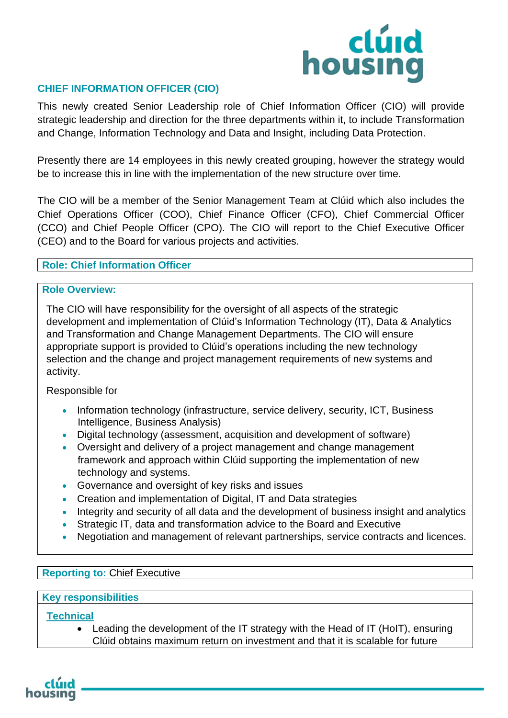

#### **CHIEF INFORMATION OFFICER (CIO)**

This newly created Senior Leadership role of Chief Information Officer (CIO) will provide strategic leadership and direction for the three departments within it, to include Transformation and Change, Information Technology and Data and Insight, including Data Protection.

Presently there are 14 employees in this newly created grouping, however the strategy would be to increase this in line with the implementation of the new structure over time.

The CIO will be a member of the Senior Management Team at Clúid which also includes the Chief Operations Officer (COO), Chief Finance Officer (CFO), Chief Commercial Officer (CCO) and Chief People Officer (CPO). The CIO will report to the Chief Executive Officer (CEO) and to the Board for various projects and activities.

#### **Role: Chief Information Officer**

#### **Role Overview:**

The CIO will have responsibility for the oversight of all aspects of the strategic development and implementation of Clúid's Information Technology (IT), Data & Analytics and Transformation and Change Management Departments. The CIO will ensure appropriate support is provided to Clúid's operations including the new technology selection and the change and project management requirements of new systems and activity.

#### Responsible for

- Information technology (infrastructure, service delivery, security, ICT, Business Intelligence, Business Analysis)
- Digital technology (assessment, acquisition and development of software)
- Oversight and delivery of a project management and change management framework and approach within Clúid supporting the implementation of new technology and systems.
- Governance and oversight of key risks and issues
- Creation and implementation of Digital, IT and Data strategies
- Integrity and security of all data and the development of business insight and analytics
- Strategic IT, data and transformation advice to the Board and Executive
- Negotiation and management of relevant partnerships, service contracts and licences.

#### **Reporting to:** Chief Executive

#### **Key responsibilities**

**Technical**

• Leading the development of the IT strategy with the Head of IT (HoIT), ensuring Clúid obtains maximum return on investment and that it is scalable for future

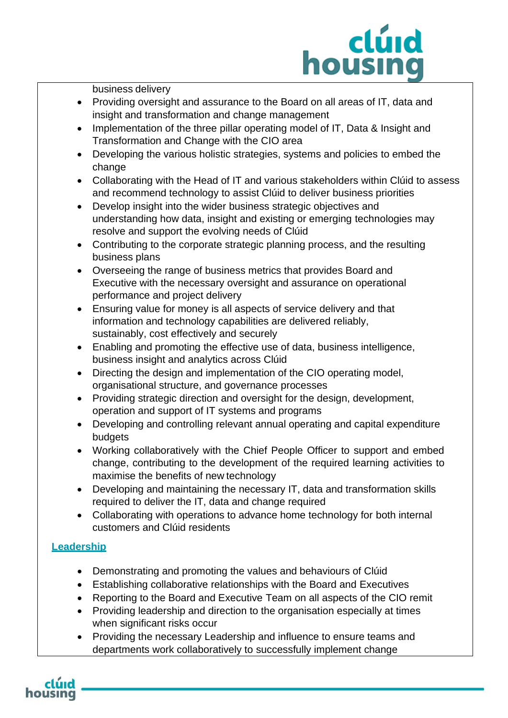## clúid housing

business delivery

- Providing oversight and assurance to the Board on all areas of IT, data and insight and transformation and change management
- Implementation of the three pillar operating model of IT, Data & Insight and Transformation and Change with the CIO area
- Developing the various holistic strategies, systems and policies to embed the change
- Collaborating with the Head of IT and various stakeholders within Clúid to assess and recommend technology to assist Clúid to deliver business priorities
- Develop insight into the wider business strategic objectives and understanding how data, insight and existing or emerging technologies may resolve and support the evolving needs of Clúid
- Contributing to the corporate strategic planning process, and the resulting business plans
- Overseeing the range of business metrics that provides Board and Executive with the necessary oversight and assurance on operational performance and project delivery
- Ensuring value for money is all aspects of service delivery and that information and technology capabilities are delivered reliably, sustainably, cost effectively and securely
- Enabling and promoting the effective use of data, business intelligence, business insight and analytics across Clúid
- Directing the design and implementation of the CIO operating model, organisational structure, and governance processes
- Providing strategic direction and oversight for the design, development, operation and support of IT systems and programs
- Developing and controlling relevant annual operating and capital expenditure budgets
- Working collaboratively with the Chief People Officer to support and embed change, contributing to the development of the required learning activities to maximise the benefits of new technology
- Developing and maintaining the necessary IT, data and transformation skills required to deliver the IT, data and change required
- Collaborating with operations to advance home technology for both internal customers and Clúid residents

#### **Leadership**

- Demonstrating and promoting the values and behaviours of Clúid
- Establishing collaborative relationships with the Board and Executives
- Reporting to the Board and Executive Team on all aspects of the CIO remit
- Providing leadership and direction to the organisation especially at times when significant risks occur
- Providing the necessary Leadership and influence to ensure teams and departments work collaboratively to successfully implement change

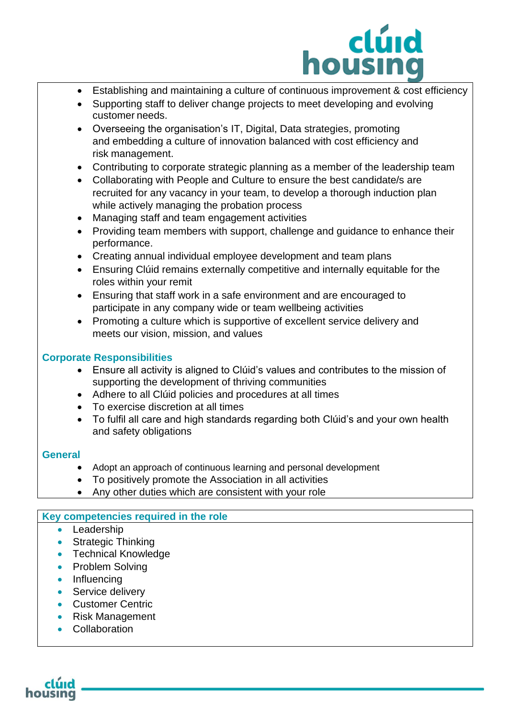

- Establishing and maintaining a culture of continuous improvement & cost efficiency
- Supporting staff to deliver change projects to meet developing and evolving customer needs.
- Overseeing the organisation's IT, Digital, Data strategies, promoting and embedding a culture of innovation balanced with cost efficiency and risk management.
- Contributing to corporate strategic planning as a member of the leadership team
- Collaborating with People and Culture to ensure the best candidate/s are recruited for any vacancy in your team, to develop a thorough induction plan while actively managing the probation process
- Managing staff and team engagement activities
- Providing team members with support, challenge and guidance to enhance their performance.
- Creating annual individual employee development and team plans
- Ensuring Clúid remains externally competitive and internally equitable for the roles within your remit
- Ensuring that staff work in a safe environment and are encouraged to participate in any company wide or team wellbeing activities
- Promoting a culture which is supportive of excellent service delivery and meets our vision, mission, and values

#### **Corporate Responsibilities**

- Ensure all activity is aligned to Clúid's values and contributes to the mission of supporting the development of thriving communities
- Adhere to all Clúid policies and procedures at all times
- To exercise discretion at all times
- To fulfil all care and high standards regarding both Clúid's and your own health and safety obligations

#### **General**

- Adopt an approach of continuous learning and personal development
- To positively promote the Association in all activities
- Any other duties which are consistent with your role

#### **Key competencies required in the role**

- Leadership
- Strategic Thinking
- Technical Knowledge
- Problem Solving
- Influencing
- Service delivery
- Customer Centric
- Risk Management
- Collaboration

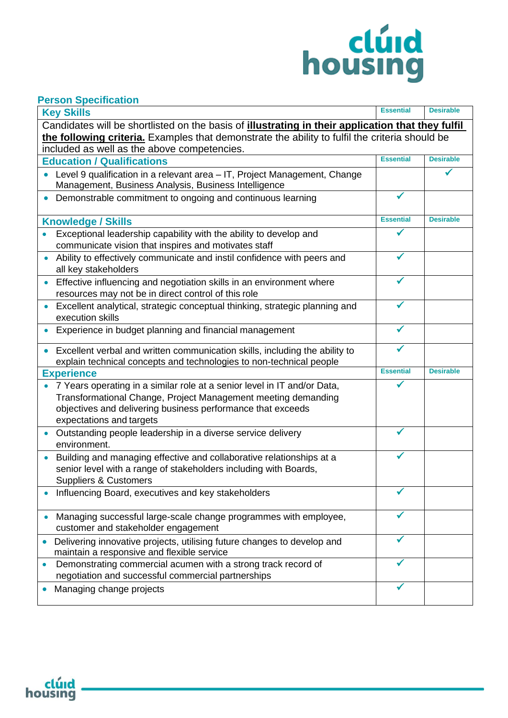# housing

#### **Person Specification**

| <u>sisen opoemaanon</u><br><b>Key Skills</b>                                                                                                                                                                                                       | <b>Essential</b> | <b>Desirable</b> |  |
|----------------------------------------------------------------------------------------------------------------------------------------------------------------------------------------------------------------------------------------------------|------------------|------------------|--|
| Candidates will be shortlisted on the basis of illustrating in their application that they fulfil<br>the following criteria. Examples that demonstrate the ability to fulfil the criteria should be<br>included as well as the above competencies. |                  |                  |  |
| <b>Education / Qualifications</b>                                                                                                                                                                                                                  | <b>Essential</b> | <b>Desirable</b> |  |
| Level 9 qualification in a relevant area - IT, Project Management, Change<br>Management, Business Analysis, Business Intelligence                                                                                                                  |                  |                  |  |
| Demonstrable commitment to ongoing and continuous learning                                                                                                                                                                                         |                  |                  |  |
| <b>Knowledge / Skills</b>                                                                                                                                                                                                                          |                  | <b>Desirable</b> |  |
| Exceptional leadership capability with the ability to develop and<br>communicate vision that inspires and motivates staff                                                                                                                          |                  |                  |  |
| Ability to effectively communicate and instil confidence with peers and<br>$\bullet$<br>all key stakeholders                                                                                                                                       |                  |                  |  |
| Effective influencing and negotiation skills in an environment where<br>resources may not be in direct control of this role                                                                                                                        |                  |                  |  |
| Excellent analytical, strategic conceptual thinking, strategic planning and<br>$\bullet$<br>execution skills                                                                                                                                       |                  |                  |  |
| Experience in budget planning and financial management                                                                                                                                                                                             |                  |                  |  |
| Excellent verbal and written communication skills, including the ability to<br>$\bullet$<br>explain technical concepts and technologies to non-technical people                                                                                    |                  |                  |  |
| <b>Experience</b>                                                                                                                                                                                                                                  |                  | <b>Desirable</b> |  |
| 7 Years operating in a similar role at a senior level in IT and/or Data,<br>Transformational Change, Project Management meeting demanding<br>objectives and delivering business performance that exceeds<br>expectations and targets               |                  |                  |  |
| Outstanding people leadership in a diverse service delivery<br>environment.                                                                                                                                                                        |                  |                  |  |
| Building and managing effective and collaborative relationships at a<br>$\bullet$<br>senior level with a range of stakeholders including with Boards,<br><b>Suppliers &amp; Customers</b>                                                          |                  |                  |  |
| Influencing Board, executives and key stakeholders                                                                                                                                                                                                 |                  |                  |  |
| Managing successful large-scale change programmes with employee,<br>customer and stakeholder engagement                                                                                                                                            |                  |                  |  |
| Delivering innovative projects, utilising future changes to develop and<br>maintain a responsive and flexible service                                                                                                                              |                  |                  |  |
| Demonstrating commercial acumen with a strong track record of<br>$\bullet$<br>negotiation and successful commercial partnerships                                                                                                                   |                  |                  |  |
| Managing change projects                                                                                                                                                                                                                           |                  |                  |  |

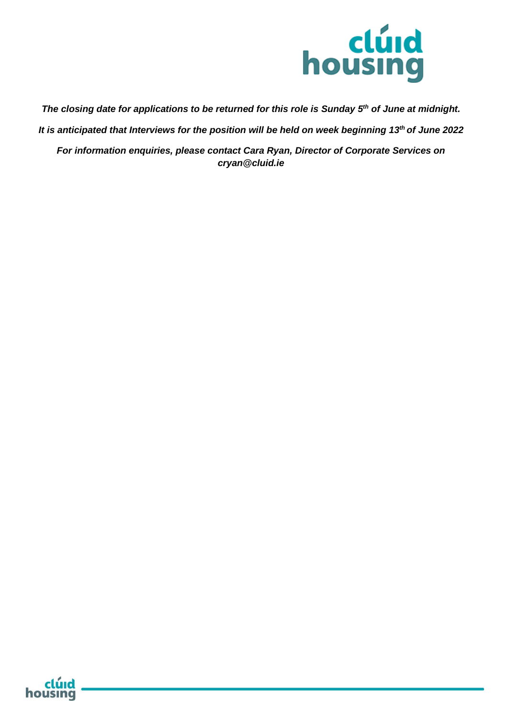

*The closing date for applications to be returned for this role is Sunday 5 th of June at midnight.*

*It is anticipated that Interviews for the position will be held on week beginning 13th of June 2022*

*For information enquiries, please contact Cara Ryan, Director of Corporate Services on cryan@cluid.ie*